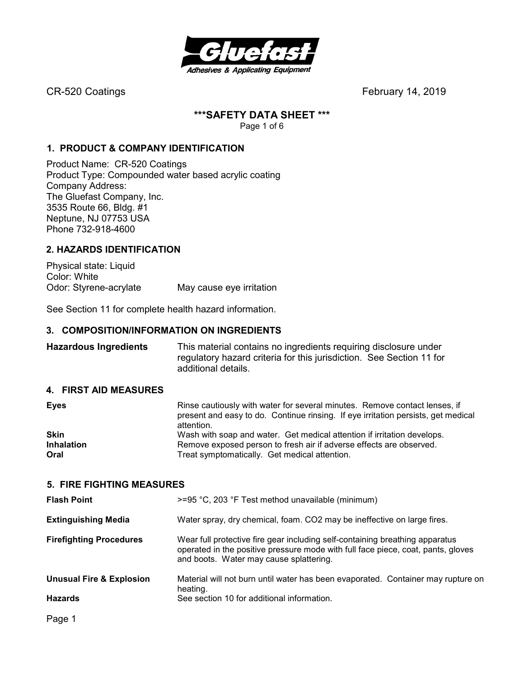

#### **\*\*\*SAFETY DATA SHEET \*\*\***

Page 1 of 6

#### **1. PRODUCT & COMPANY IDENTIFICATION**

Product Name: CR-520 Coatings Product Type: Compounded water based acrylic coating Company Address: The Gluefast Company, Inc. 3535 Route 66, Bldg. #1 Neptune, NJ 07753 USA Phone 732-918-4600

#### **2. HAZARDS IDENTIFICATION**

Physical state: Liquid Color: White Odor: Styrene-acrylate May cause eye irritation

See Section 11 for complete health hazard information.

#### **3. COMPOSITION/INFORMATION ON INGREDIENTS**

**Hazardous Ingredients** This material contains no ingredients requiring disclosure under regulatory hazard criteria for this jurisdiction. See Section 11 for additional details.

#### **4. FIRST AID MEASURES**

| <b>Eyes</b>       | Rinse cautiously with water for several minutes. Remove contact lenses, if<br>present and easy to do. Continue rinsing. If eye irritation persists, get medical<br>attention. |
|-------------------|-------------------------------------------------------------------------------------------------------------------------------------------------------------------------------|
| <b>Skin</b>       | Wash with soap and water. Get medical attention if irritation develops.                                                                                                       |
| <b>Inhalation</b> | Remove exposed person to fresh air if adverse effects are observed.                                                                                                           |
| Oral              | Treat symptomatically. Get medical attention.                                                                                                                                 |

#### **5. FIRE FIGHTING MEASURES**

| <b>Flash Point</b>                  | $>=$ 95 °C, 203 °F Test method unavailable (minimum)                                                                                                                                                        |
|-------------------------------------|-------------------------------------------------------------------------------------------------------------------------------------------------------------------------------------------------------------|
| <b>Extinguishing Media</b>          | Water spray, dry chemical, foam. CO2 may be ineffective on large fires.                                                                                                                                     |
| <b>Firefighting Procedures</b>      | Wear full protective fire gear including self-containing breathing apparatus<br>operated in the positive pressure mode with full face piece, coat, pants, gloves<br>and boots. Water may cause splattering. |
| <b>Unusual Fire &amp; Explosion</b> | Material will not burn until water has been evaporated. Container may rupture on<br>heating.                                                                                                                |
| <b>Hazards</b>                      | See section 10 for additional information.                                                                                                                                                                  |
|                                     |                                                                                                                                                                                                             |

Page 1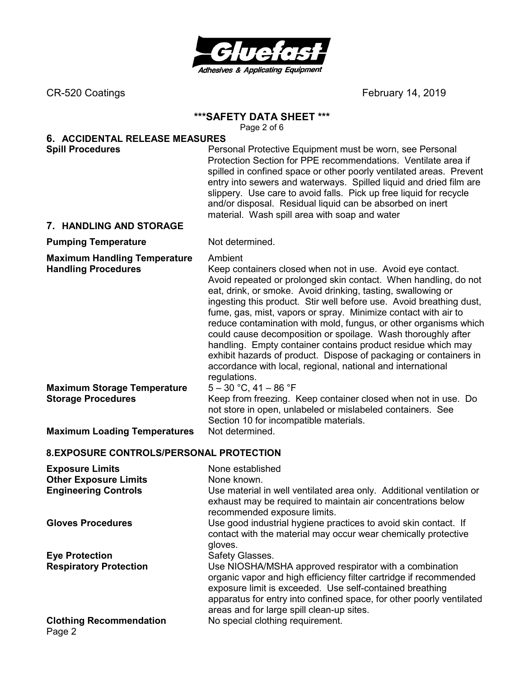

#### **\*\*\*SAFETY DATA SHEET \*\*\***

Page 2 of 6

# **6. ACCIDENTAL RELEASE MEASURES**

**Spill Procedures Personal Protective Equipment must be worn, see Personal Protective Equipment must be worn, see Personal** Protection Section for PPE recommendations. Ventilate area if spilled in confined space or other poorly ventilated areas. Prevent entry into sewers and waterways. Spilled liquid and dried film are slippery. Use care to avoid falls. Pick up free liquid for recycle and/or disposal. Residual liquid can be absorbed on inert material. Wash spill area with soap and water

#### **7. HANDLING AND STORAGE**

#### **Pumping Temperature** Not determined.

**Maximum Handling Temperature** Ambient

**Handling Procedures** Keep containers closed when not in use. Avoid eye contact. Avoid repeated or prolonged skin contact. When handling, do not eat, drink, or smoke. Avoid drinking, tasting, swallowing or ingesting this product. Stir well before use. Avoid breathing dust, fume, gas, mist, vapors or spray. Minimize contact with air to reduce contamination with mold, fungus, or other organisms which could cause decomposition or spoilage. Wash thoroughly after handling. Empty container contains product residue which may exhibit hazards of product. Dispose of packaging or containers in accordance with local, regional, national and international regulations.

**Maximum Storage Temperature** 5 – 30 °C, 41 – 86 °F

**Storage Procedures Keep from freezing. Keep container closed when not in use. Do** not store in open, unlabeled or mislabeled containers. See

Section 10 for incompatible materials.

**Maximum Loading Temperatures** Not determined.

### **8. EXPOSURE CONTROLS/PERSONAL PROTECTION**

| <b>Exposure Limits</b><br><b>Other Exposure Limits</b><br><b>Engineering Controls</b> | None established<br>None known.<br>Use material in well ventilated area only. Additional ventilation or<br>exhaust may be required to maintain air concentrations below<br>recommended exposure limits.                                                                                                      |
|---------------------------------------------------------------------------------------|--------------------------------------------------------------------------------------------------------------------------------------------------------------------------------------------------------------------------------------------------------------------------------------------------------------|
| <b>Gloves Procedures</b>                                                              | Use good industrial hygiene practices to avoid skin contact. If<br>contact with the material may occur wear chemically protective<br>gloves.                                                                                                                                                                 |
| <b>Eye Protection</b>                                                                 | Safety Glasses.                                                                                                                                                                                                                                                                                              |
| <b>Respiratory Protection</b>                                                         | Use NIOSHA/MSHA approved respirator with a combination<br>organic vapor and high efficiency filter cartridge if recommended<br>exposure limit is exceeded. Use self-contained breathing<br>apparatus for entry into confined space, for other poorly ventilated<br>areas and for large spill clean-up sites. |
| <b>Clothing Recommendation</b><br>Page 2                                              | No special clothing requirement.                                                                                                                                                                                                                                                                             |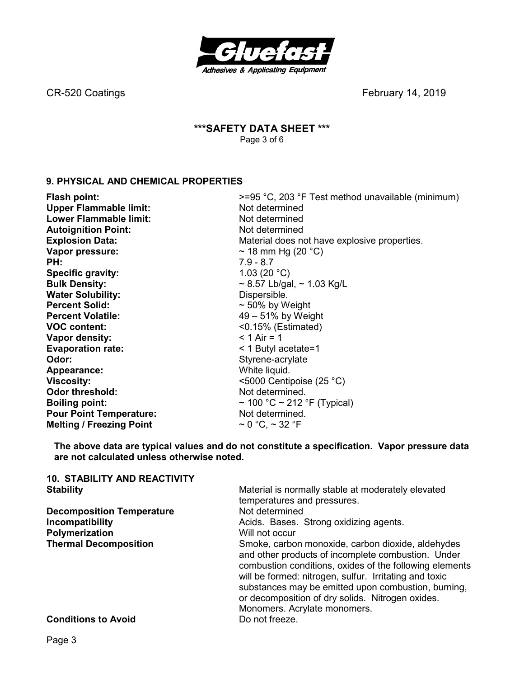

### **\*\*\*SAFETY DATA SHEET \*\*\***  Page 3 of 6

# **9. PHYSICAL AND CHEMICAL PROPERTIES**

| <b>Flash point:</b>             | >=95 °C, 203 °F Test method unavailable (minimum) |  |
|---------------------------------|---------------------------------------------------|--|
| <b>Upper Flammable limit:</b>   | Not determined                                    |  |
| <b>Lower Flammable limit:</b>   | Not determined                                    |  |
| <b>Autoignition Point:</b>      | Not determined                                    |  |
| <b>Explosion Data:</b>          | Material does not have explosive properties.      |  |
| Vapor pressure:                 | ~ 18 mm Hg (20 $^{\circ}$ C)                      |  |
| PH:                             | $7.9 - 8.7$                                       |  |
| <b>Specific gravity:</b>        | 1.03 (20 $^{\circ}$ C)                            |  |
| <b>Bulk Density:</b>            | $\sim$ 8.57 Lb/gal, $\sim$ 1.03 Kg/L              |  |
| <b>Water Solubility:</b>        | Dispersible.                                      |  |
| <b>Percent Solid:</b>           | $\sim$ 50% by Weight                              |  |
| <b>Percent Volatile:</b>        | $49-51\%$ by Weight                               |  |
| <b>VOC content:</b>             | $< 0.15\%$ (Estimated)                            |  |
| Vapor density:                  | $< 1$ Air = 1                                     |  |
| <b>Evaporation rate:</b>        | $<$ 1 Butyl acetate=1                             |  |
| Odor:                           | Styrene-acrylate                                  |  |
| Appearance:                     | White liquid.                                     |  |
| <b>Viscosity:</b>               | <5000 Centipoise $(25 °C)$                        |  |
| <b>Odor threshold:</b>          | Not determined.                                   |  |
| <b>Boiling point:</b>           | $\sim$ 100 °C $\sim$ 212 °F (Typical)             |  |
| <b>Pour Point Temperature:</b>  | Not determined.                                   |  |
| <b>Melting / Freezing Point</b> | $\sim$ 0 °C, $\sim$ 32 °F                         |  |

**The above data are typical values and do not constitute a specification. Vapor pressure data are not calculated unless otherwise noted.** 

| <b>10. STABILITY AND REACTIVITY</b> |                                                                                                                                                                                                                                                                                                                                                                         |
|-------------------------------------|-------------------------------------------------------------------------------------------------------------------------------------------------------------------------------------------------------------------------------------------------------------------------------------------------------------------------------------------------------------------------|
| <b>Stability</b>                    | Material is normally stable at moderately elevated                                                                                                                                                                                                                                                                                                                      |
|                                     | temperatures and pressures.                                                                                                                                                                                                                                                                                                                                             |
| <b>Decomposition Temperature</b>    | Not determined                                                                                                                                                                                                                                                                                                                                                          |
| Incompatibility                     | Acids. Bases. Strong oxidizing agents.                                                                                                                                                                                                                                                                                                                                  |
| Polymerization                      | Will not occur                                                                                                                                                                                                                                                                                                                                                          |
| <b>Thermal Decomposition</b>        | Smoke, carbon monoxide, carbon dioxide, aldehydes<br>and other products of incomplete combustion. Under<br>combustion conditions, oxides of the following elements<br>will be formed: nitrogen, sulfur. Irritating and toxic<br>substances may be emitted upon combustion, burning,<br>or decomposition of dry solids. Nitrogen oxides.<br>Monomers. Acrylate monomers. |
| <b>Conditions to Avoid</b>          | Do not freeze.                                                                                                                                                                                                                                                                                                                                                          |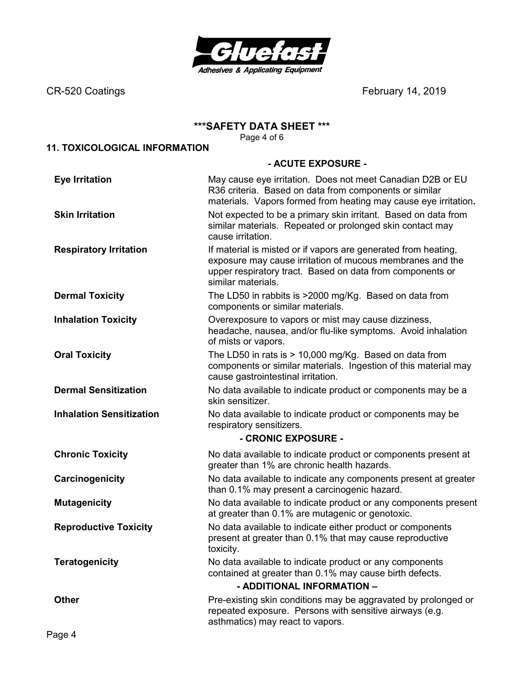

#### **\*\*\*SAFETY DATA SHEET \*\*\***

Page 4 of 6

# **11. TOXICOLOGICAL INFORMATION**

#### **- ACUTE EXPOSURE -**

| <b>Eye Irritation</b>           | May cause eye irritation. Does not meet Canadian D2B or EU<br>R36 criteria. Based on data from components or similar<br>materials. Vapors formed from heating may cause eye irritation.                        |
|---------------------------------|----------------------------------------------------------------------------------------------------------------------------------------------------------------------------------------------------------------|
| <b>Skin Irritation</b>          | Not expected to be a primary skin irritant. Based on data from<br>similar materials. Repeated or prolonged skin contact may<br>cause irritation.                                                               |
| <b>Respiratory Irritation</b>   | If material is misted or if vapors are generated from heating,<br>exposure may cause irritation of mucous membranes and the<br>upper respiratory tract. Based on data from components or<br>similar materials. |
| <b>Dermal Toxicity</b>          | The LD50 in rabbits is >2000 mg/Kg. Based on data from<br>components or similar materials.                                                                                                                     |
| <b>Inhalation Toxicity</b>      | Overexposure to vapors or mist may cause dizziness,<br>headache, nausea, and/or flu-like symptoms. Avoid inhalation<br>of mists or vapors.                                                                     |
| <b>Oral Toxicity</b>            | The LD50 in rats is > 10,000 mg/Kg. Based on data from<br>components or similar materials. Ingestion of this material may<br>cause gastrointestinal irritation.                                                |
| <b>Dermal Sensitization</b>     | No data available to indicate product or components may be a<br>skin sensitizer.                                                                                                                               |
| <b>Inhalation Sensitization</b> | No data available to indicate product or components may be<br>respiratory sensitizers.                                                                                                                         |
|                                 | - CRONIC EXPOSURE -                                                                                                                                                                                            |
| <b>Chronic Toxicity</b>         | No data available to indicate product or components present at<br>greater than 1% are chronic health hazards.                                                                                                  |
| Carcinogenicity                 | No data available to indicate any components present at greater<br>than 0.1% may present a carcinogenic hazard.                                                                                                |
| <b>Mutagenicity</b>             | No data available to indicate product or any components present<br>at greater than 0.1% are mutagenic or genotoxic.                                                                                            |
| <b>Reproductive Toxicity</b>    | No data available to indicate either product or components<br>present at greater than 0.1% that may cause reproductive<br>toxicity.                                                                            |
| <b>Teratogenicity</b>           | No data available to indicate product or any components<br>contained at greater than 0.1% may cause birth defects.<br>- ADDITIONAL INFORMATION -                                                               |
| <b>Other</b>                    | Pre-existing skin conditions may be aggravated by prolonged or<br>repeated exposure. Persons with sensitive airways (e.g.<br>asthmatics) may react to vapors.                                                  |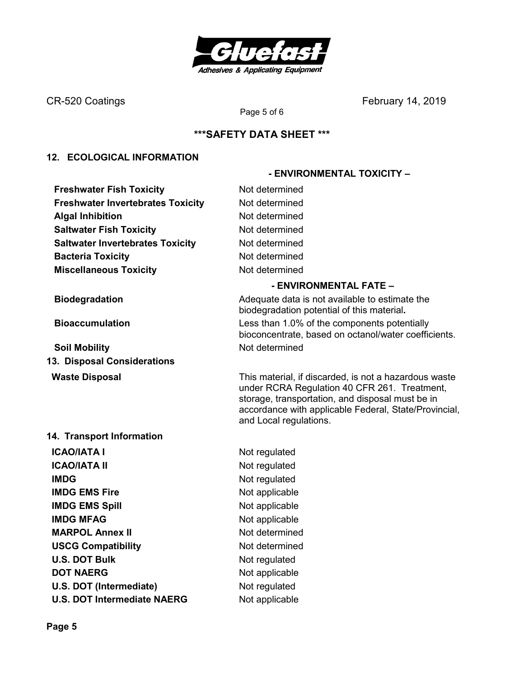

# **\*\*\*SAFETY DATA SHEET \*\*\***

Page 5 of 6

#### **12. ECOLOGICAL INFORMATION**

**Freshwater Fish Toxicity Not determined Freshwater Invertebrates Toxicity Mot determined Algal Inhibition Not determined Saltwater Fish Toxicity Not determined Saltwater Invertebrates Toxicity Mot determined Bacteria Toxicity Not determined Miscellaneous Toxicity** Not determined

**Soil Mobility Not determined 13. Disposal Considerations** 

#### **14. Transport Information**

**ICAO/IATA I** Not regulated **ICAO/IATA II** Not regulated **IMDG** Not regulated **IMDG EMS Fire** Not applicable **IMDG EMS Spill Service Spill Service Spill Service Spill Service Spill Service Spill Service Spill Service Spill Service Spill Service Spill Service Spill Service Spill Service Spill Service Spill Service Spill Service Sp IMDG MFAG** Not applicable **MARPOL Annex II** Not determined **USCG Compatibility Not determined U.S. DOT Bulk** Not regulated **DOT NAERG** Not applicable **U.S. DOT (Intermediate)** Not regulated **U.S. DOT Intermediate NAERG** Not applicable

#### **- ENVIRONMENTAL FATE –**

 **- ENVIRONMENTAL TOXICITY –** 

**Biodegradation Biodegradation Adequate data is not available to estimate the** biodegradation potential of this material**. Bioaccumulation** Less than 1.0% of the components potentially bioconcentrate, based on octanol/water coefficients.

**Waste Disposal** This material, if discarded, is not a hazardous waste under RCRA Regulation 40 CFR 261. Treatment, storage, transportation, and disposal must be in accordance with applicable Federal, State/Provincial, and Local regulations.